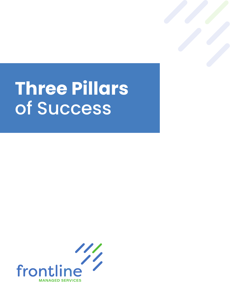## **Three Pillars**  of Success

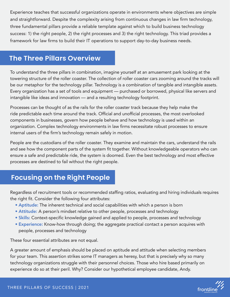Experience teaches that successful organizations operate in environments where objectives are simple and straightforward. Despite the complexity arising from continuous changes in law firm technology, three fundamental pillars provide a reliable template against which to build business technology success: 1) the right people, 2) the right processes and 3) the right technology. This triad provides a framework for law firms to build their IT operations to support day-to-day business needs.

## **The Three Pillars Overview**

To understand the three pillars in combination, imagine yourself at an amusement park looking at the towering structure of the roller coaster. The collection of roller coaster cars zooming around the tracks will be our metaphor for the technology pillar. Technology is a combination of tangible and intangible assets. Every organization has a set of tools and equipment — purchased or borrowed, physical like servers and intangible like ideas and innovation — and a resulting technology footprint.

Processes can be thought of as the rails for the roller coaster track because they help make the ride predictable each time around the track. Official and unofficial processes, the most overlooked components in businesses, govern how people behave and how technology is used within an organization. Complex technology environments in law firms necessitate robust processes to ensure internal users of the firm's technology remain safely in motion.

People are the custodians of the roller coaster. They examine and maintain the cars, understand the rails and see how the component parts of the system fit together. Without knowledgeable operators who can ensure a safe and predictable ride, the system is doomed. Even the best technology and most effective processes are destined to fail without the right people.

## **Focusing on the Right People**

Regardless of recruitment tools or recommended staffing ratios, evaluating and hiring individuals requires the right fit. Consider the following four attributes:

- Aptitude: The inherent technical and social capabilities with which a person is born
- Attitude: A person's mindset relative to other people, processes and technology
- Skills: Context-specific knowledge gained and applied to people, processes and technology
- Experience: Know-how through doing; the aggregate practical contact a person acquires with people, processes and technology

These four essential attributes are not equal.

A greater amount of emphasis should be placed on aptitude and attitude when selecting members for your team. This assertion strikes some IT managers as heresy, but that is precisely why so many technology organizations struggle with their personnel choices. Those who hire based primarily on experience do so at their peril. Why? Consider our hypothetical employee candidate, Andy.